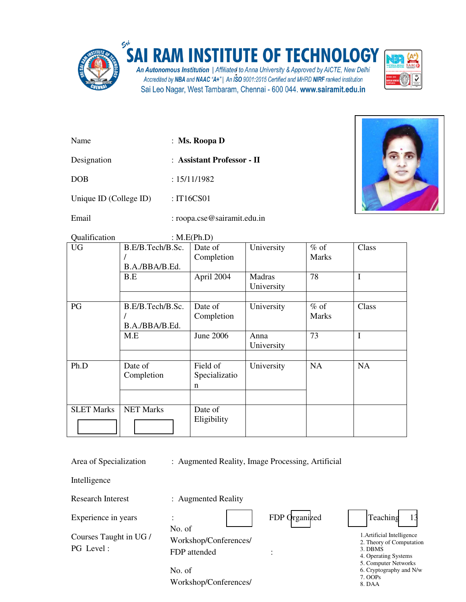

## **SAI RAM INSTITUTE OF TECHNOLOGY**

An Autonomous Institution | Affiliated to Anna University & Approved by AICTE, New Delhi Accredited by NBA and NAAC "A+" | An ISO 9001:2015 Certified and MHRD NIRF ranked institution Sai Leo Nagar, West Tambaram, Chennai - 600 044. www.sairamit.edu.in



| Name                   | : Ms. Roopa $D$            |
|------------------------|----------------------------|
| Designation            | : Assistant Professor - II |
| <b>DOB</b>             | : 15/11/1982               |
| Unique ID (College ID) | : $IT16CSO1$               |

Email : roopa.cse@sairamit.edu.in



Qualification : M.E(Ph.D)

| <b>UG</b>         | B.E/B.Tech/B.Sc.<br>B.A./BBA/B.Ed. | Date of<br>Completion                    | University           | $%$ of<br>Marks        | Class     |
|-------------------|------------------------------------|------------------------------------------|----------------------|------------------------|-----------|
|                   | B.E                                | April 2004                               | Madras<br>University | 78                     | I         |
| PG                | B.E/B.Tech/B.Sc.<br>B.A./BBA/B.Ed. | Date of<br>Completion                    | University           | $%$ of<br><b>Marks</b> | Class     |
|                   | M.E                                | June 2006                                | Anna<br>University   | 73                     | I         |
| Ph.D              | Date of<br>Completion              | Field of<br>Specializatio<br>$\mathbf n$ | University           | <b>NA</b>              | <b>NA</b> |
| <b>SLET Marks</b> | <b>NET Marks</b>                   | Date of<br>Eligibility                   |                      |                        |           |

Area of Specialization : Augmented Reality, Image Processing, Artificial

Intelligence

Research Interest : Augmented Reality

Experience in years :

Courses Taught in UG / PG Level :

| No. of                |  |
|-----------------------|--|
| Workshop/Conferences/ |  |
| FDP attended          |  |



1.Artificial Intelligence - 2. Theory of Computation 3. DBMS 4. Operating Systems 5. Computer Networks 6. Cryptography and N/w 7. OOPs -

8. DAA

No. of Workshop/Conferences/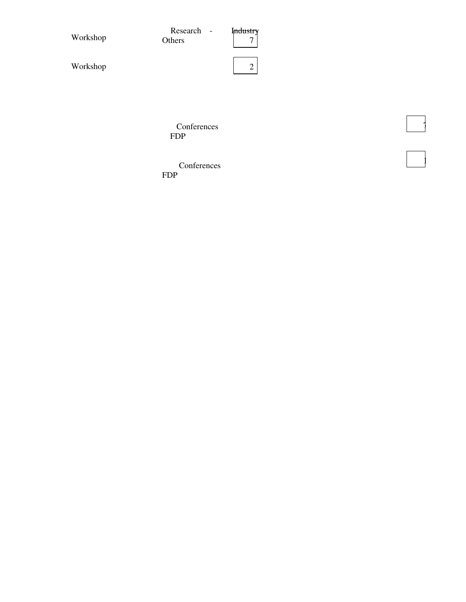| Workshop | Research -<br>Others | Industry<br>7 |
|----------|----------------------|---------------|
| Workshop |                      | $\gamma$<br>∠ |

 $\begin{array}{|c|} \hline \end{array}$ 

 $\begin{array}{|c|c|} \hline \hline \hline \hline \end{array}$ 

**Conferences** FDP

 Conferences FDP